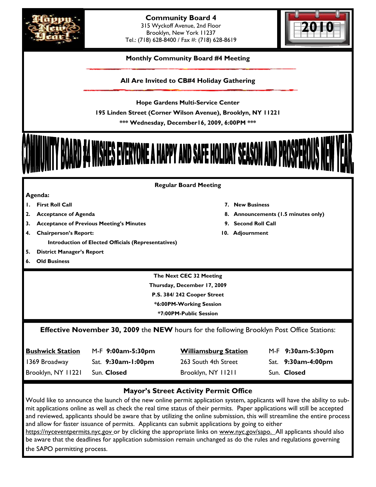



# **Monthly Community Board #4 Meeting**

**All Are Invited to CB#4 Holiday Gathering** 

**Hope Gardens Multi-Service Center 195 Linden Street (Corner Wilson Avenue), Brooklyn, NY 11221 \*\*\* Wednesday, December16, 2009, 6:00PM \*\*\*** 



#### **Regular Board Meeting**

| ∕enaa<br>o |
|------------|
|------------|

- **1. First Roll Call 7. New Business**
- **2. Acceptance of Agenda 8. Announcements (1.5 minutes only)**
- **3. Acceptance of Previous Meeting's Minutes 9. Second Roll Call**
- **4. Chairperson's Report: 10. Adjournment** 
	- **Introduction of Elected Officials (Representatives)**
- **5. District Manager's Report**
- **6. Old Business**

**The Next CEC 32 Meeting Thursday, December 17, 2009 P.S. 384/ 242 Cooper Street \*6:00PM-Working Session \*7:00PM-Public Session** 

# **Effective November 30, 2009** the **NEW** hours for the following Brooklyn Post Office Stations:

| <b>Bushwick Station</b> | M-F 9:00am-5:30pm  | <b>Williamsburg Station</b> | M-F 9:30am-5:30pm  |
|-------------------------|--------------------|-----------------------------|--------------------|
| 1369 Broadway           | Sat. 9:30am-1:00pm | 263 South 4th Street        | Sat. 9:30am-4:00pm |
| Brooklyn, NY 11221      | Sun. Closed        | Brooklyn, NY 11211          | Sun. Closed        |

# **Mayor's Street Activity Permit Office**

Would like to announce the launch of the new online permit application system, applicants will have the ability to submit applications online as well as check the real time status of their permits. Paper applications will still be accepted and reviewed, applicants should be aware that by utilizing the online submission, this will streamline the entire process and allow for faster issuance of permits. Applicants can submit applications by going to either

https://nyceventpermits.nyc.gov or by clicking the appropriate links on www.nyc.gov/sapo. All applicants should also be aware that the deadlines for application submission remain unchanged as do the rules and regulations governing the SAPO permitting process.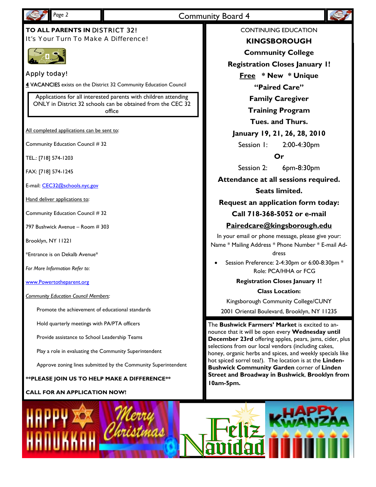

# Page 2 **Community Board 4**

# **TO ALL PARENTS IN** DISTRICT 32! It's Your Turn To Make A Difference!



# Apply today!

4 VACANCIES exists on the District 32 Community Education Council

Applications for all interested parents with children attending ONLY in District 32 schools can be obtained from the CEC 32 office

All completed applications can be sent to:

Community Education Council # 32

TEL.: [718] 574-1203

FAX: [718] 574-1245

E-mail: CEC32@schools.nyc.gov

Hand deliver applications to:

Community Education Council # 32

797 Bushwick Avenue – Room # 303

Brooklyn, NY 11221

\*Entrance is on Dekalb Avenue\*

*For More Information Refer to*:

www.Powertotheparent.org

*Community Education Council Members:* 

Promote the achievement of educational standards

Hold quarterly meetings with PA/PTA officers

Provide assistance to School Leadership Teams

Play a role in evaluating the Community Superintendent

Approve zoning lines submitted by the Community Superintendent

**\*\*PLEASE JOIN US TO HELP MAKE A DIFFERENCE\*\*** 

#### **CALL FOR AN APPLICATION NOW!**

CONTINUING EDUCATION



**KINGSBOROUGH** 

**Community College** 

**Registration Closes January 1!** 

**Free \* New \* Unique "Paired Care"** 

**Family Caregiver** 

**Training Program** 

**Tues. and Thurs.** 

# **January 19, 21, 26, 28, 2010**

Session 1: 2:00-4:30pm

**Or** 

Session 2: 6pm-8:30pm

**Attendance at all sessions required.** 

## **Seats limited.**

**Request an application form today:** 

## **Call 718-368-5052 or e-mail**

## **Pairedcare@kingsborough.edu**

In your email or phone message, please give your: Name \* Mailing Address \* Phone Number \* E-mail Ad-

dress

• Session Preference: 2-4:30pm or 6:00-8:30pm \* Role: PCA/HHA or FCG

**Registration Closes January 1!** 

**Class Location:** 

Kingsborough Community College/CUNY

2001 Oriental Boulevard, Brooklyn, NY 11235

The **Bushwick Farmers' Market** is excited to announce that it will be open every **Wednesday until December 23rd** offering apples, pears, jams, cider, plus selections from our local vendors (including cakes, honey, organic herbs and spices, and weekly specials like hot spiced sorrel tea!). The location is at the **Linden-Bushwick Community Garden** corner of **Linden Street and Broadway in Bushwick**, **Brooklyn from 10am-5pm.** 

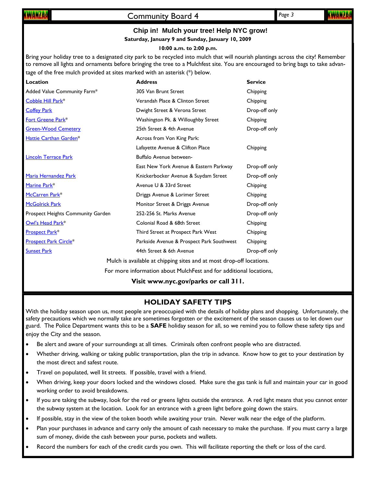# Community Board 4 *Page 3*

# **Chip in! Mulch your tree! Help NYC grow!**

**Saturday, January 9 and Sunday, January 10, 2009** 

#### **10:00 a.m. to 2:00 p.m.**

Bring your holiday tree to a designated city park to be recycled into mulch that will nourish plantings across the city! Remember to remove all lights and ornaments before bringing the tree to a Mulchfest site. You are encouraged to bring bags to take advantage of the free mulch provided at sites marked with an asterisk (\*) below.

| Location                                                             | <b>Address</b>                            | <b>Service</b> |  |  |  |
|----------------------------------------------------------------------|-------------------------------------------|----------------|--|--|--|
| Added Value Community Farm*                                          | 305 Van Brunt Street                      | Chipping       |  |  |  |
| Cobble Hill Park*                                                    | Verandah Place & Clinton Street           | Chipping       |  |  |  |
| <b>Coffey Park</b>                                                   | Dwight Street & Verona Street             | Drop-off only  |  |  |  |
| Fort Greene Park*                                                    | Washington Pk. & Willoughby Street        | Chipping       |  |  |  |
| <b>Green-Wood Cemetery</b>                                           | 25th Street & 4th Avenue                  | Drop-off only  |  |  |  |
| Hattie Carthan Garden*                                               | Across from Von King Park:                |                |  |  |  |
|                                                                      | Lafayette Avenue & Clifton Place          | Chipping       |  |  |  |
| <b>Lincoln Terrace Park</b>                                          | Buffalo Avenue between-                   |                |  |  |  |
|                                                                      | East New York Avenue & Eastern Parkway    | Drop-off only  |  |  |  |
| Maria Hernandez Park                                                 | Knickerbocker Avenue & Suydam Street      | Drop-off only  |  |  |  |
| Marine Park <sup>*</sup>                                             | Avenue U & 33rd Street                    | Chipping       |  |  |  |
| McCarren Park*                                                       | Driggs Avenue & Lorimer Street            | Chipping       |  |  |  |
| <b>McGolrick Park</b>                                                | Monitor Street & Driggs Avenue            | Drop-off only  |  |  |  |
| Prospect Heights Community Garden                                    | 252-256 St. Marks Avenue                  | Drop-off only  |  |  |  |
| Owl's Head Park*                                                     | Colonial Road & 68th Street               | Chipping       |  |  |  |
| <b>Prospect Park*</b>                                                | Third Street at Prospect Park West        | Chipping       |  |  |  |
| <b>Prospect Park Circle*</b>                                         | Parkside Avenue & Prospect Park Southwest | Chipping       |  |  |  |
| <b>Sunset Park</b>                                                   | 44th Street & 6th Avenue                  | Drop-off only  |  |  |  |
| Mulch is available at chipping sites and at most drop-off locations. |                                           |                |  |  |  |

For more information about MulchFest and for additional locations,

**Visit www.nyc.gov/parks or call 311.** 

# **HOLIDAY SAFETY TIPS**

With the holiday season upon us, most people are preoccupied with the details of holiday plans and shopping. Unfortunately, the safety precautions which we normally take are sometimes forgotten or the excitement of the season causes us to let down our guard. The Police Department wants this to be a **SAFE** holiday season for all, so we remind you to follow these safety tips and enjoy the City and the season.

- Be alert and aware of your surroundings at all times. Criminals often confront people who are distracted.
- Whether driving, walking or taking public transportation, plan the trip in advance. Know how to get to your destination by the most direct and safest route.
- Travel on populated, well lit streets. If possible, travel with a friend.
- When driving, keep your doors locked and the windows closed. Make sure the gas tank is full and maintain your car in good working order to avoid breakdowns.
- If you are taking the subway, look for the red or greens lights outside the entrance. A red light means that you cannot enter the subway system at the location. Look for an entrance with a green light before going down the stairs.
- If possible, stay in the view of the token booth while awaiting your train. Never walk near the edge of the platform.
- Plan your purchases in advance and carry only the amount of cash necessary to make the purchase. If you must carry a large sum of money, divide the cash between your purse, pockets and wallets.
- Record the numbers for each of the credit cards you own. This will facilitate reporting the theft or loss of the card.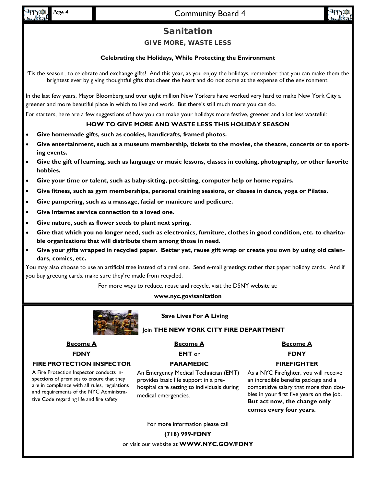# Page 4 **Community Board 4**



# **Sanitation**

**GIVE MORE, WASTE LESS** 

# **Celebrating the Holidays, While Protecting the Environment**

'Tis the season...to celebrate and exchange gifts! And this year, as you enjoy the holidays, remember that you can make them the brightest ever by giving thoughtful gifts that cheer the heart and do not come at the expense of the environment.

In the last few years, Mayor Bloomberg and over eight million New Yorkers have worked very hard to make New York City a greener and more beautiful place in which to live and work. But there's still much more you can do.

For starters, here are a few suggestions of how you can make your holidays more festive, greener and a lot less wasteful:

## **HOW TO GIVE MORE AND WASTE LESS THIS HOLIDAY SEASON**

- **Give homemade gifts, such as cookies, handicrafts, framed photos.**
- Give entertainment, such as a museum membership, tickets to the movies, the theatre, concerts or to sport**ing events.**
- **Give the gift of learning, such as language or music lessons, classes in cooking, photography, or other favorite hobbies.**
- **Give your time or talent, such as baby-sitting, pet-sitting, computer help or home repairs.**
- **Give fitness, such as gym memberships, personal training sessions, or classes in dance, yoga or Pilates.**
- **Give pampering, such as a massage, facial or manicure and pedicure.**
- **Give Internet service connection to a loved one.**
- **Give nature, such as flower seeds to plant next spring.**
- **Give that which you no longer need, such as electronics, furniture, clothes in good condition, etc. to charitable organizations that will distribute them among those in need.**
- **Give your gifts wrapped in recycled paper. Better yet, reuse gift wrap or create you own by using old calendars, comics, etc.**

You may also choose to use an artificial tree instead of a real one. Send e-mail greetings rather that paper holiday cards. And if you buy greeting cards, make sure they're made from recycled.

For more ways to reduce, reuse and recycle, visit the DSNY website at:

**www.nyc.gov/sanitation** 



## **Save Lives For A Living**

#### Join **THE NEW YORK CITY FIRE DEPARTMENT**

# **Become A**

**FDNY** 

#### **FIRE PROTECTION INSPECTOR**

A Fire Protection Inspector conducts inspections of premises to ensure that they are in compliance with all rules, regulations and requirements of the NYC Administrative Code regarding life and fire safety.

# **Become A**

**EMT** or

# **PARAMEDIC**

An Emergency Medical Technician (EMT) provides basic life support in a prehospital care setting to individuals during medical emergencies.

**Become A**

**FDNY** 

## **FIREFIGHTER**

As a NYC Firefighter, you will receive an incredible benefits package and a competitive salary that more than doubles in your first five years on the job. **But act now, the change only comes every four years.**

For more information please call

**(718) 999-FDNY** 

or visit our website at **WWW.NYC.GOV/FDNY**